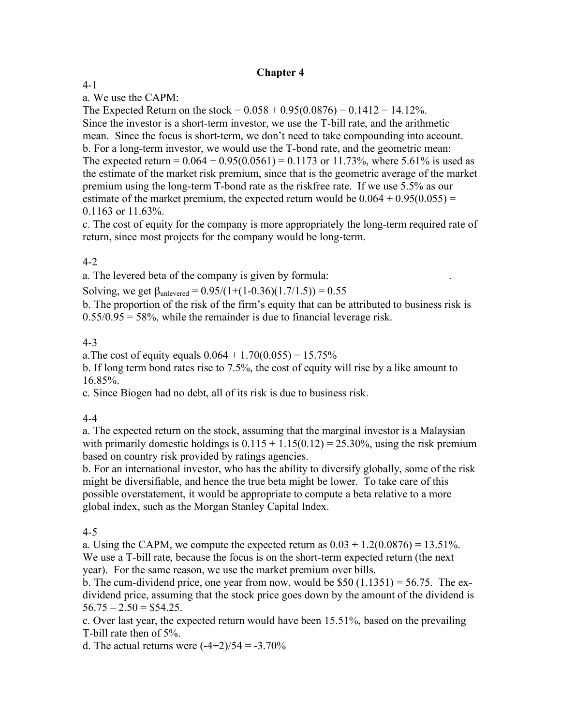### **Chapter 4**

### 4-1

a. We use the CAPM:

The Expected Return on the stock =  $0.058 + 0.95(0.0876) = 0.1412 = 14.12\%$ . Since the investor is a short-term investor, we use the T-bill rate, and the arithmetic mean. Since the focus is short-term, we don't need to take compounding into account. b. For a long-term investor, we would use the T-bond rate, and the geometric mean: The expected return =  $0.064 + 0.95(0.0561) = 0.1173$  or 11.73%, where 5.61% is used as the estimate of the market risk premium, since that is the geometric average of the market premium using the long-term T-bond rate as the riskfree rate. If we use 5.5% as our estimate of the market premium, the expected return would be  $0.064 + 0.95(0.055) =$ 0.1163 or 11.63%.

c. The cost of equity for the company is more appropriately the long-term required rate of return, since most projects for the company would be long-term.

### 4-2

a. The levered beta of the company is given by formula:

Solving, we get  $\beta_{\text{unlevered}} = 0.95/(1+(1-0.36)(1.7/1.5)) = 0.55$ 

b. The proportion of the risk of the firm's equity that can be attributed to business risk is  $0.55/0.95 = 58\%$ , while the remainder is due to financial leverage risk.

#### 4-3

a. The cost of equity equals  $0.064 + 1.70(0.055) = 15.75\%$ 

b. If long term bond rates rise to 7.5%, the cost of equity will rise by a like amount to 16.85%.

c. Since Biogen had no debt, all of its risk is due to business risk.

#### 4-4

a. The expected return on the stock, assuming that the marginal investor is a Malaysian with primarily domestic holdings is  $0.115 + 1.15(0.12) = 25.30\%$ , using the risk premium based on country risk provided by ratings agencies.

b. For an international investor, who has the ability to diversify globally, some of the risk might be diversifiable, and hence the true beta might be lower. To take care of this possible overstatement, it would be appropriate to compute a beta relative to a more global index, such as the Morgan Stanley Capital Index.

### 4-5

a. Using the CAPM, we compute the expected return as  $0.03 + 1.2(0.0876) = 13.51\%$ . We use a T-bill rate, because the focus is on the short-term expected return (the next year). For the same reason, we use the market premium over bills.

b. The cum-dividend price, one year from now, would be \$50  $(1.1351) = 56.75$ . The exdividend price, assuming that the stock price goes down by the amount of the dividend is  $56.75 - 2.50 = $54.25$ .

c. Over last year, the expected return would have been 15.51%, based on the prevailing T-bill rate then of 5%.

d. The actual returns were  $(-4+2)/54 = -3.70\%$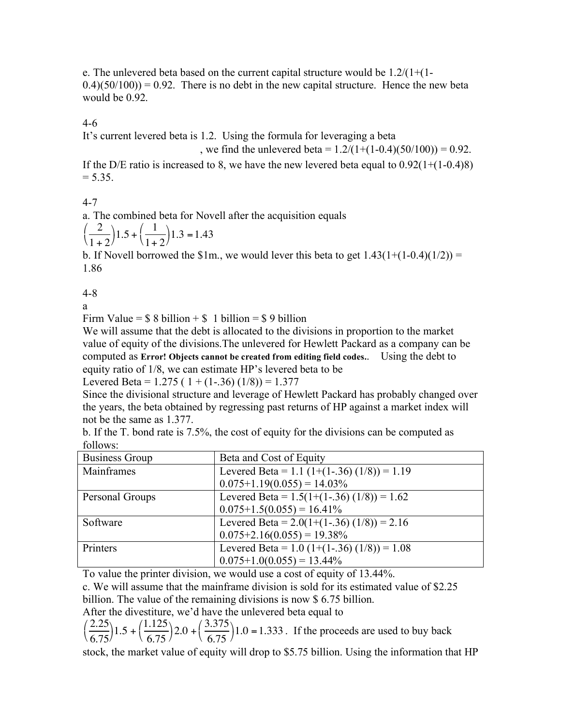e. The unlevered beta based on the current capital structure would be  $1.2/(1+(1 (0.4)(50/100) = 0.92$ . There is no debt in the new capital structure. Hence the new beta would be 0.92.

4-6

It's current levered beta is 1.2. Using the formula for leveraging a beta

, we find the unlevered beta =  $1.2/(1+(1-0.4)(50/100)) = 0.92$ .

If the D/E ratio is increased to 8, we have the new levered beta equal to  $0.92(1+(1-0.4)8)$  $= 5.35.$ 

4-7

a. The combined beta for Novell after the acquisition equals

$$
\left(\frac{2}{1+2}\right)1.5 + \left(\frac{1}{1+2}\right)1.3 = 1.43
$$

b. If Novell borrowed the \$1m., we would lever this beta to get  $1.43(1+(1-0.4)(1/2)) =$ 1.86

4-8

a

Firm Value =  $$ 8 \text{ billion} + $ 1 \text{ billion} = $ 9 \text{ billion}$ 

We will assume that the debt is allocated to the divisions in proportion to the market value of equity of the divisions.The unlevered for Hewlett Packard as a company can be computed as **Error! Objects cannot be created from editing field codes.**. Using the debt to equity ratio of 1/8, we can estimate HP's levered beta to be

Levered Beta =  $1.275$  (  $1 + (1-.36)$  ( $1/8$ )) =  $1.377$ 

Since the divisional structure and leverage of Hewlett Packard has probably changed over the years, the beta obtained by regressing past returns of HP against a market index will not be the same as 1.377.

| b. If the T. bond rate is 7.5%, the cost of equity for the divisions can be computed as |  |  |
|-----------------------------------------------------------------------------------------|--|--|
| follows:                                                                                |  |  |

| <b>Business Group</b> | Beta and Cost of Equity                       |
|-----------------------|-----------------------------------------------|
| Mainframes            | Levered Beta = 1.1 $(1+(1-.36) (1/8)) = 1.19$ |
|                       | $0.075+1.19(0.055) = 14.03\%$                 |
| Personal Groups       | Levered Beta = $1.5(1+(1-.36) (1/8)) = 1.62$  |
|                       | $0.075+1.5(0.055) = 16.41\%$                  |
| Software              | Levered Beta = $2.0(1+(1-.36) (1/8)) = 2.16$  |
|                       | $0.075+2.16(0.055) = 19.38\%$                 |
| Printers              | Levered Beta = $1.0$ (1+(1-.36) (1/8)) = 1.08 |
|                       | $0.075+1.0(0.055) = 13.44\%$                  |

To value the printer division, we would use a cost of equity of 13.44%.

c. We will assume that the mainframe division is sold for its estimated value of \$2.25

billion. The value of the remaining divisions is now \$ 6.75 billion.

After the divestiture, we'd have the unlevered beta equal to

2.25 6.75  $\left(\frac{2.25}{6.75}\right)1.5 +$ 1.125 6.75  $\left(\frac{1.125}{6.75}\right)2.0 +$ 3.375 6.75  $\left(\frac{3.375}{6.75}\right)1.0 = 1.333$ . If the proceeds are used to buy back

stock, the market value of equity will drop to \$5.75 billion. Using the information that HP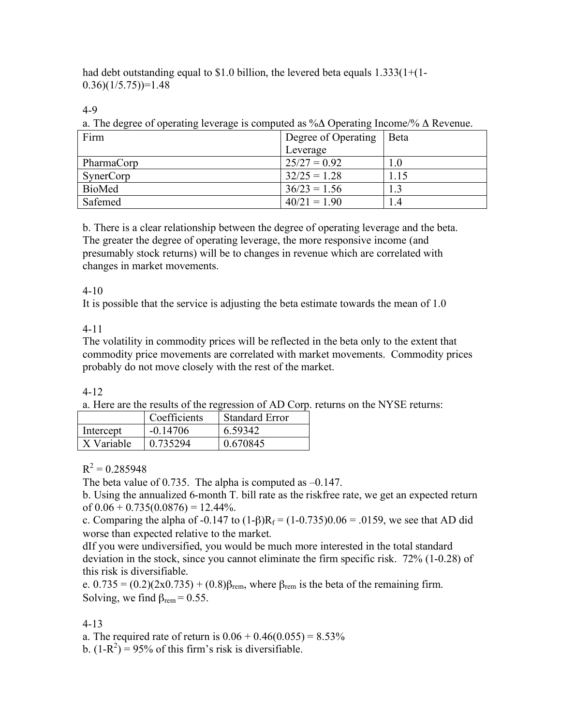had debt outstanding equal to \$1.0 billion, the levered beta equals  $1.333(1+(1 (0.36)(1/5.75)$ =1.48

4-9

a. The degree of operating leverage is computed as %Δ Operating Income/% Δ Revenue.

| Firm          | Degree of Operating | <b>B</b> eta |
|---------------|---------------------|--------------|
|               | Leverage            |              |
| PharmaCorp    | $25/27 = 0.92$      | 1.0          |
| SynerCorp     | $32/25 = 1.28$      |              |
| <b>BioMed</b> | $36/23 = 1.56$      | 3.،          |
| Safemed       | $40/21 = 1.90$      | . 4          |

b. There is a clear relationship between the degree of operating leverage and the beta. The greater the degree of operating leverage, the more responsive income (and presumably stock returns) will be to changes in revenue which are correlated with changes in market movements.

# 4-10

It is possible that the service is adjusting the beta estimate towards the mean of 1.0

# 4-11

The volatility in commodity prices will be reflected in the beta only to the extent that commodity price movements are correlated with market movements. Commodity prices probably do not move closely with the rest of the market.

## 4-12

a. Here are the results of the regression of AD Corp. returns on the NYSE returns:

|            | Coefficients | <b>Standard Error</b> |
|------------|--------------|-----------------------|
| Intercept  | $-0.14706$   | 6.59342               |
| X Variable | 0.735294     | 0.670845              |

## $R^2 = 0.285948$

The beta value of 0.735. The alpha is computed as –0.147.

b. Using the annualized 6-month T. bill rate as the riskfree rate, we get an expected return of  $0.06 + 0.735(0.0876) = 12.44\%$ .

c. Comparing the alpha of -0.147 to  $(1-\beta)R_f = (1-0.735)0.06 = .0159$ , we see that AD did worse than expected relative to the market.

dIf you were undiversified, you would be much more interested in the total standard deviation in the stock, since you cannot eliminate the firm specific risk. 72% (1-0.28) of this risk is diversifiable.

e.  $0.735 = (0.2)(2x0.735) + (0.8)\beta_{\text{rem}}$ , where  $\beta_{\text{rem}}$  is the beta of the remaining firm. Solving, we find  $\beta_{\text{rem}} = 0.55$ .

# 4-13

a. The required rate of return is  $0.06 + 0.46(0.055) = 8.53\%$ 

b.  $(1-R^2) = 95\%$  of this firm's risk is diversifiable.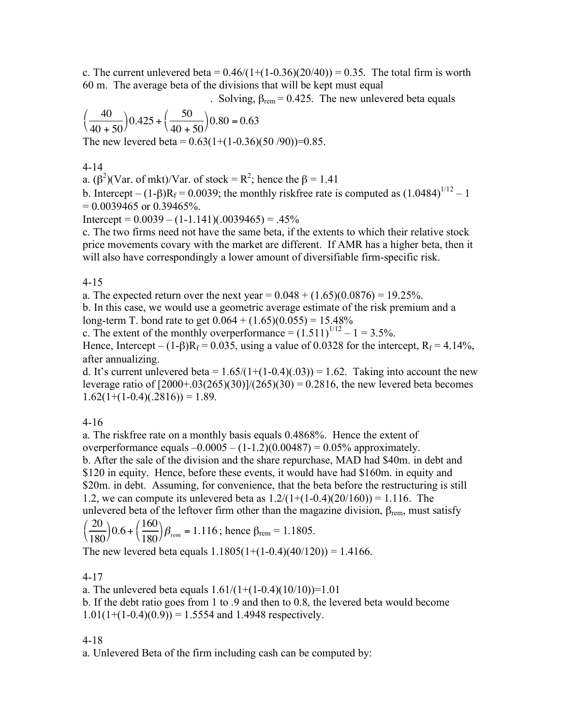c. The current unlevered beta =  $0.46/(1+(1-0.36)(20/40)) = 0.35$ . The total firm is worth 60 m. The average beta of the divisions that will be kept must equal

. Solving,  $\beta_{\text{rem}} = 0.425$ . The new unlevered beta equals

$$
\left(\frac{40}{40+50}\right)0.425 + \left(\frac{50}{40+50}\right)0.80 = 0.63
$$

The new levered beta =  $0.63(1+(1-0.36)(50/90))=0.85$ .

4-14

a.  $(\beta^2)(\text{Var. of mkt})/\text{Var. of stock} = \text{R}^2$ ; hence the  $\beta = 1.41$ 

b. Intercept –  $(1-\beta)R_f = 0.0039$ ; the monthly riskfree rate is computed as  $(1.0484)^{1/12} - 1$  $= 0.0039465$  or 0.39465%.

Intercept =  $0.0039 - (1-1.141)(.0039465) = .45\%$ 

c. The two firms need not have the same beta, if the extents to which their relative stock price movements covary with the market are different. If AMR has a higher beta, then it will also have correspondingly a lower amount of diversifiable firm-specific risk.

4-15

a. The expected return over the next year =  $0.048 + (1.65)(0.0876) = 19.25\%$ .

b. In this case, we would use a geometric average estimate of the risk premium and a long-term T. bond rate to get  $0.064 + (1.65)(0.055) = 15.48\%$ 

c. The extent of the monthly overperformance =  $(1.511)^{1/12} - 1 = 3.5\%$ .

Hence, Intercept – (1-β) $R_f = 0.035$ , using a value of 0.0328 for the intercept,  $R_f = 4.14\%$ , after annualizing.

d. It's current unlevered beta =  $1.65/(1+(1-0.4)(0.03)) = 1.62$ . Taking into account the new leverage ratio of  $[2000+.03(265)(30)]/(265)(30) = 0.2816$ , the new levered beta becomes  $1.62(1+(1-0.4)(.2816)) = 1.89.$ 

4-16

a. The riskfree rate on a monthly basis equals 0.4868%. Hence the extent of overperformance equals  $-0.0005 - (1-1.2)(0.00487) = 0.05\%$  approximately. b. After the sale of the division and the share repurchase, MAD had \$40m. in debt and \$120 in equity. Hence, before these events, it would have had \$160m. in equity and \$20m. in debt. Assuming, for convenience, that the beta before the restructuring is still 1.2, we can compute its unlevered beta as  $1.2/(1+(1-0.4)(20/160)) = 1.116$ . The unlevered beta of the leftover firm other than the magazine division,  $\beta_{\text{rem}}$ , must satisfy  $\sqrt{20}$  $(160$ 

$$
\left(\frac{20}{180}\right)0.6 + \left(\frac{160}{180}\right)\beta_{rem} = 1.116
$$
; hence  $\beta_{rem} = 1.1805$ .

The new levered beta equals  $1.1805(1+(1-0.4)(40/120)) = 1.4166$ .

4-17

a. The unlevered beta equals  $1.61/(1+(1-0.4)(10/10))=1.01$ b. If the debt ratio goes from 1 to .9 and then to 0.8, the levered beta would become

 $1.01(1+(1-0.4)(0.9)) = 1.5554$  and 1.4948 respectively.

4-18

a. Unlevered Beta of the firm including cash can be computed by: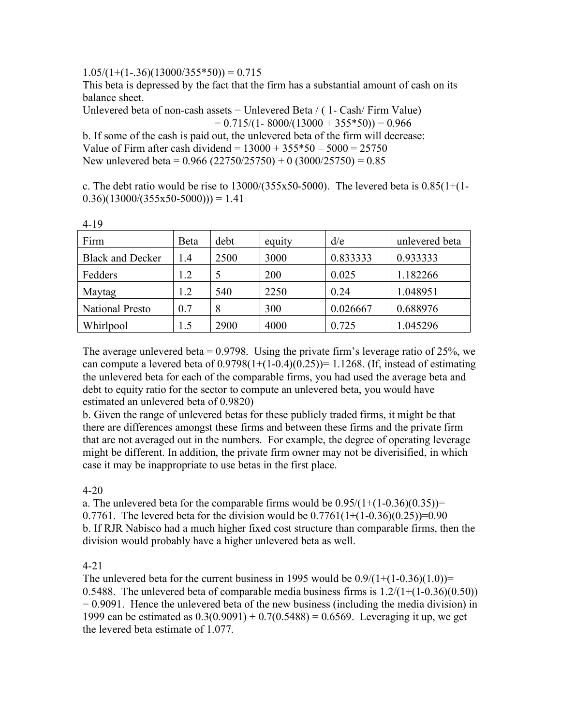$1.05/(1+(1-.36)(13000/355*50)) = 0.715$ 

This beta is depressed by the fact that the firm has a substantial amount of cash on its balance sheet.

Unlevered beta of non-cash assets = Unlevered Beta  $/$  (1- Cash $/$  Firm Value)  $= 0.715/(1 - 8000/(13000 + 355*50)) = 0.966$ 

b. If some of the cash is paid out, the unlevered beta of the firm will decrease: Value of Firm after cash dividend =  $13000 + 355*50 - 5000 = 25750$ New unlevered beta =  $0.966$  (22750/25750) + 0 (3000/25750) =  $0.85$ 

c. The debt ratio would be rise to  $13000/(355x50-5000)$ . The levered beta is  $0.85(1+(1 (0.36)(13000/(355x50-5000))) = 1.41$ 

| Firm                    | Beta | debt | equity | d/e      | unlevered beta |
|-------------------------|------|------|--------|----------|----------------|
| <b>Black and Decker</b> | 1.4  | 2500 | 3000   | 0.833333 | 0.933333       |
| Fedders                 | 1.2  |      | 200    | 0.025    | 1.182266       |
| Maytag                  | 1.2  | 540  | 2250   | 0.24     | 1.048951       |
| <b>National Presto</b>  | 0.7  | 8    | 300    | 0.026667 | 0.688976       |
| Whirlpool               | 1.5  | 2900 | 4000   | 0.725    | 1.045296       |

4-19

The average unlevered beta =  $0.9798$ . Using the private firm's leverage ratio of 25%, we can compute a levered beta of  $0.9798(1+(1-0.4)(0.25))=1.1268$ . (If, instead of estimating the unlevered beta for each of the comparable firms, you had used the average beta and debt to equity ratio for the sector to compute an unlevered beta, you would have estimated an unlevered beta of 0.9820)

b. Given the range of unlevered betas for these publicly traded firms, it might be that there are differences amongst these firms and between these firms and the private firm that are not averaged out in the numbers. For example, the degree of operating leverage might be different. In addition, the private firm owner may not be diverisified, in which case it may be inappropriate to use betas in the first place.

4-20

a. The unlevered beta for the comparable firms would be  $0.95/(1+(1-0.36)(0.35))$ = 0.7761. The levered beta for the division would be  $0.7761(1+(1-0.36)(0.25))=0.90$ b. If RJR Nabisco had a much higher fixed cost structure than comparable firms, then the division would probably have a higher unlevered beta as well.

4-21

The unlevered beta for the current business in 1995 would be  $0.9/(1+(1-0.36)(1.0))=$ 0.5488. The unlevered beta of comparable media business firms is  $1.2/(1+(1-0.36)(0.50))$ = 0.9091. Hence the unlevered beta of the new business (including the media division) in 1999 can be estimated as  $0.3(0.9091) + 0.7(0.5488) = 0.6569$ . Leveraging it up, we get the levered beta estimate of 1.077.